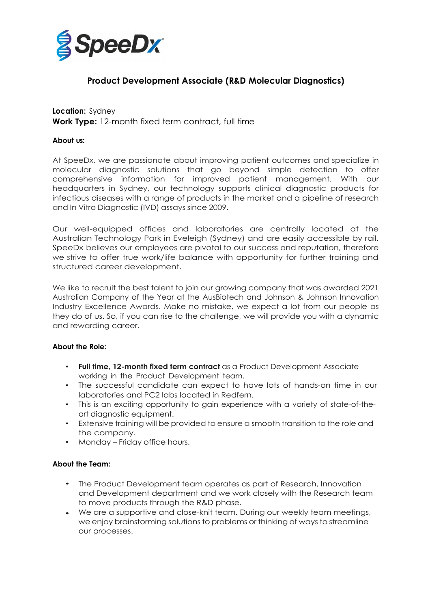

# **Product Development Associate (R&D Molecular Diagnostics)**

## **Location:** Sydney **Work Type:** 12-month fixed term contract, full time

#### **About us:**

At SpeeDx, we are passionate about improving patient outcomes and specialize in molecular diagnostic solutions that go beyond simple detection to offer comprehensive information for improved patient management. With our headquarters in Sydney, our technology supports clinical diagnostic products for infectious diseases with a range of products in the market and a pipeline of research and In Vitro Diagnostic (IVD) assays since 2009.

Our well-equipped offices and laboratories are centrally located at the Australian Technology Park in Eveleigh (Sydney) and are easily accessible by rail. SpeeDx believes our employees are pivotal to our success and reputation, therefore we strive to offer true work/life balance with opportunity for further training and structured career development.

We like to recruit the best talent to join our growing company that was awarded 2021 Australian Company of the Year at the AusBiotech and Johnson & Johnson Innovation Industry Excellence Awards. Make no mistake, we expect a lot from our people as they do of us. So, if you can rise to the challenge, we will provide you with a dynamic and rewarding career.

#### **About the Role:**

- **Full time, 12-month fixed term contract** as a Product Development Associate working in the Product Development team.
- The successful candidate can expect to have lots of hands-on time in our laboratories and PC2 labs located in Redfern.
- This is an exciting opportunity to gain experience with a variety of state-of-theart diagnostic equipment.
- Extensive training will be provided to ensure a smooth transition to the role and the company.
- Monday Friday office hours.

## **About the Team:**

- The Product Development team operates as part of Research, Innovation and Development department and we work closely with the Research team to move products through the R&D phase.
- We are a supportive and close-knit team. During our weekly team meetings, •we enjoy brainstorming solutions to problems or thinking of ways to streamline our processes.